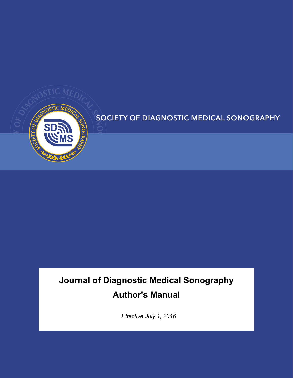

# **SOCIETY OF DIAGNOSTIC MEDICAL SONOGRAPHY**

# **Journal of Diagnostic Medical Sonography Author's Manual**

*Effective July 1, 2016*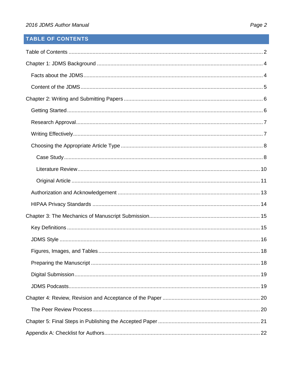# <span id="page-1-0"></span>**TABLE OF CONTENTS**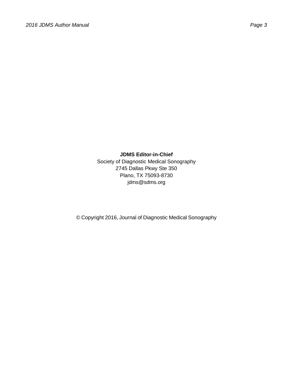#### **JDMS Editor-in-Chief**

Society of Diagnostic Medical Sonography 2745 Dallas Pkwy Ste 350 Plano, TX 75093-8730 [jdms@sdms.org](mailto:email:%20jdmseditor@sdms.org)

© Copyright 2016, Journal of Diagnostic Medical Sonography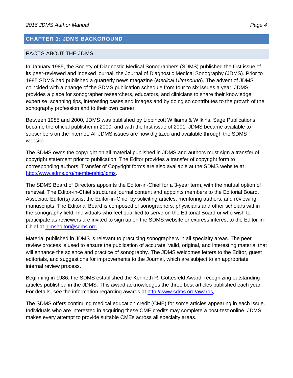#### <span id="page-3-0"></span>**CHAPTER 1: JDMS BACKGROUND**

#### <span id="page-3-1"></span>FACTS ABOUT THE JDMS

In January 1985, the Society of Diagnostic Medical Sonographers (SDMS) published the first issue of its peer-reviewed and indexed journal, the Journal of Diagnostic Medical Sonography (JDMS). Prior to 1985 SDMS had published a quarterly news magazine (*Medical Ultrasound*). The advent of JDMS coincided with a change of the SDMS publication schedule from four to six issues a year. JDMS provides a place for sonographer researchers, educators, and clinicians to share their knowledge, expertise, scanning tips, interesting cases and images and by doing so contributes to the growth of the sonography profession and to their own career.

Between 1985 and 2000, JDMS was published by Lippincott Williams & Wilkins. Sage Publications became the official publisher in 2000, and with the first issue of 2001, JDMS became [available to](http://www.sdms.org/jdms)  [subscribers on](http://www.sdms.org/jdms) the internet. All JDMS issues are now digitized and available through the SDMS website.

The SDMS owns the copyright on all materi[al published in JDMS and autho](http://www.sdms.org/jdms)rs must sign a transfer of copyright statement prior to [publication. The Editor provid](http://www.sdms.org/jdms)es a transfer of copyright form to corresponding aut[hors. Transfer of Copyright](http://www.sdms.org/jdms) forms are also available at the SDMS website at http://www.sdms.org/membership/jdms.

The SDMS Board of Directors appoints the Editor-in-Chief for a 3-year term, with the mutual option of renewal. The Editor-in-Chief structures journal content and appoints members to the Editorial Board. Associate Editor(s) assist the Editor-in-Chief by soliciting articles, mentoring authors, and reviewing manuscripts. The Editorial Board is composed of sonographers, physicians and other scholars within the sonography field. Individuals who feel qualified to serve on the Editorial Board or who wish to participate as reviewers are invited to sign up on the SDMS website or express interest to the Editor-in-Chief at [jdmseditor@sdms.org.](mailto:jdmseditor@sdms.org)

Material published in JDMS is relevant to practicing sonographers in all specialty areas. The peer review process is used to ensure the publication of accurate, valid, original, and interesting material that will enhance the science and practice of sonography. The JDMS welcomes letters to the Editor, guest editorials, and suggestions for improvements to the Journal, which are subject to an appropriate internal review process.

Beginning in 1986, the SDMS established the Kenneth R. Gottesfeld Award, recognizing outstanding articles published in the JDMS. This award acknowledges the three best articles published each year. For details, see the information regarding awards at [http://www.sdms.org/awards.](http://www.sdms.org/awards)

The SDMS offers continuing medical education credit (CME) for some articles appearing in each issue. Individuals who are interested in acquiring these CME credits may complete a post-test online. JDMS makes every attempt to provide suitable CMEs across all specialty areas.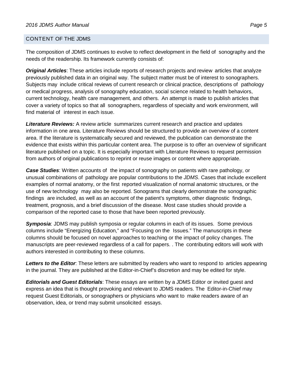#### <span id="page-4-0"></span>CONTENT OF THE JDMS

The composition of JDMS continues to evolve to reflect development in the field of sonography and the needs of the readership. Its framework currently consists of:

*Original Articles*: These articles include reports of research projects and review articles that analyze previously published data in an original way. The subject matter must be of interest to sonographers. Subjects may include critical reviews of current research or clinical practice, descriptions of pathology or medical progress, analysis of sonography education, social science related to health behaviors, current technology, health care management, and others. An attempt is made to publish articles that cover a variety of topics so that all sonographers, regardless of specialty and work environment, will find material of interest in each issue.

*Literature Reviews:* A review article summarizes current research and practice and updates information in one area. Literature Reviews should be structured to provide an overview of a content area. If the literature is systematically secured and reviewed, the publication can demonstrate the evidence that exists within this particular content area. The purpose is to offer an overview of significant literature published on a topic. It is especially important with Literature Reviews to request permission from authors of original publications to reprint or reuse images or content where appropriate.

*Case Studies*: Written accounts of the impact of sonography on patients with rare pathology, or unusual combinations of pathology are popular contributions to the *JDMS*. Cases that include excellent examples of normal anatomy, or the first reported visualization of normal anatomic structures, or the use of new technology may also be reported. Sonograms that clearly demonstrate the sonographic findings are included, as well as an account of the patient's symptoms, other diagnostic findings, treatment, prognosis, and a brief discussion of the disease. Most case studies should provide a comparison of the reported case to those that have been reported previously.

*Symposia*: JDMS may publish symposia or regular columns in each of its issues. Some previous columns include "Energizing Education," and "Focusing on the Issues." The manuscripts in these columns should be focused on novel approaches to teaching or the impact of policy changes. The manuscripts are peer-reviewed regardless of a call for papers. . The contributing editors will work with authors interested in contributing to these columns.

*Letters to the Editor*: These letters are submitted by readers who want to respond to articles appearing in the journal. They are published at the Editor-in-Chief's discretion and may be edited for style.

*Editorials and Guest Editorials*: These essays are written by a JDMS Editor or invited guest and express an idea that is thought provoking and relevant to JDMS readers. The Editor-in-Chief may request Guest Editorials, or sonographers or physicians who want to make readers aware of an observation, idea, or trend may submit unsolicited essays.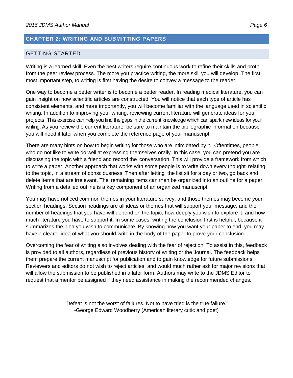#### <span id="page-5-0"></span>**CHAPTER 2: WRITING AND SUBMITTING PAPERS**

#### <span id="page-5-1"></span>GETTING STARTED

Writing is a learned skill. Even the best writers require continuous work to refine their skills and profit from the peer review process. The more you practice writing, the more skill you will develop. The first, most important step, to writing is first having the desire to convey a message to the reader.

One way to become a better writer is to become a better reader. In reading medical literature, you can gain insight on how scientific articles are constructed. You will notice that each type of article has consistent elements, and more importantly, you will become familiar with the language used in scientific writing. In addition to improving your writing, reviewing current literature will generate ideas for your projects. This exercise can help you find the gaps in the current knowledge which can spark new ideas for your writing. As you review the current literature, be sure to maintain the bibliographic information because you will need it later when you complete the reference page of your manuscript.

There are many hints on how to begin writing for those who are intimidated by it. Oftentimes, people who do not like to write do well at expressing themselves orally. In this case, you can pretend you are discussing the topic with a friend and record the conversation. This will provide a framework from which to write a paper. Another approach that works with some people is to write down every thought relating to the topic, in a stream of consciousness. Then after letting the list sit for a day or two, go back and delete items that are irrelevant. The remaining items can then be organized into an outline for a paper. Writing from a detailed outline is a key component of an organized manuscript.

You may have noticed common themes in your literature survey, and those themes may become your section headings. Section headings are all ideas or themes that will support your message, and the number of headings that you have will depend on the topic, how deeply you wish to explore it, and how much literature you have to support it. In some cases, writing the conclusion first is helpful, because it summarizes the idea you wish to communicate. By knowing how you want your paper to end, you may have a clearer idea of what you should write in the body of the paper to prove your conclusion.

Overcoming the fear of writing also involves dealing with the fear of rejection. To assist in this, feedback is provided to all authors, regardless of previous history of writing or the Journal. The feedback helps them prepare the current manuscript for publication and to gain knowledge for future submissions. Reviewers and editors do not wish to reject articles, and would much rather ask for major revisions that will allow the submission to be published in a later form. Authors may write to the JDMS Editor to request that a mentor be assigned if they need assistance in making the recommended changes.

> "Defeat is not the worst of failures. Not to have tried is the true failure." -George Edward Woodberry (American literary critic and poet)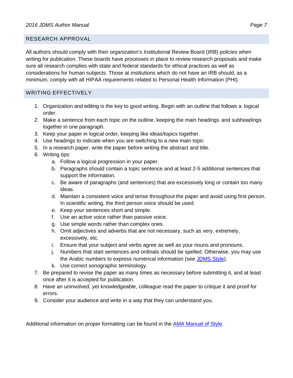#### <span id="page-6-0"></span>RESEARCH APPROVAL

All authors should comply with their organization's Institutional Review Board (IRB) policies when writing for publication. These boards have processes in place to review research proposals and make sure all research complies with state and federal standards for ethical practices as well as considerations for human subjects. Those at institutions which do not have an IRB should, as a minimum, comply with all HIPAA requirements related to Personal Health Information (PHI).

#### <span id="page-6-1"></span>WRITING EFFECTIVELY

- 1. Organization and editing is the key to good writing. Begin with an outline that follows a logical order.
- 2. Make a sentence from each topic on the outline, keeping the main headings and subheadings together in one paragraph.
- 3. Keep your paper in logical order, keeping like ideas/topics together.
- 4. Use headings to indicate when you are switching to a new main topic
- 5. In a research paper, write the paper before writing the abstract and title.
- 6. Writing tips:
	- a. Follow a logical progression in your paper.
	- b. Paragraphs should contain a topic sentence and at least 2-5 additional sentences that support the information.
	- c. Be aware of paragraphs (and sentences) that are excessively long or contain too many ideas.
	- d. Maintain a consistent voice and tense throughout the paper and avoid using first person. In scientific writing, the third person voice should be used.
	- e. Keep your sentences short and simple.
	- f. Use an active voice rather than passive voice.
	- g. Use simple words rather than complex ones.
	- h. Omit adjectives and adverbs that are not necessary, such as very, extremely, excessively, etc.
	- i. Ensure that your subject and verbs agree as well as your nouns and pronouns.
	- j. Numbers that start sentences and ordinals should be spelled. Otherwise, you may use the Arabic numbers to express numerical information (see [JDMS Style\)](#page-15-0).
	- k. Use correct sonographic terminology.
- 7. Be prepared to revise the paper as many times as necessary before submitting it, and at least once after it is accepted for publication.
- 8. Have an uninvolved, yet knowledgeable, colleague read the paper to critique it and proof for errors.
- 9. Consider your audience and write in a way that they can understand you.

Additional information on proper formatting can be found in the [AMA Manual of Style.](http://www.amamanualofstyle.com/view/10.1093/jama/9780195176339.001.0001/med-9780195176339)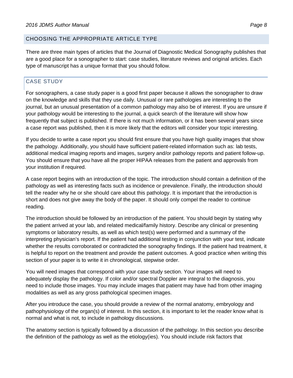#### <span id="page-7-0"></span>CHOOSING THE APPROPRIATE ARTICLE TYPE

There are three main types of articles that the Journal of Diagnostic Medical Sonography publishes that are a good place for a sonographer to start: case studies, literature reviews and original articles. Each type of manuscript has a unique format that you should follow.

# <span id="page-7-1"></span>CASE STUDY

For sonographers, a case study paper is a good first paper because it allows the sonographer to draw on the knowledge and skills that they use daily. Unusual or rare pathologies are interesting to the journal, but an unusual presentation of a common pathology may also be of interest. If you are unsure if your pathology would be interesting to the journal, a quick search of the literature will show how frequently that subject is published. If there is not much information, or it has been several years since a case report was published, then it is more likely that the editors will consider your topic interesting.

If you decide to write a case report you should first ensure that you have high quality images that show the pathology. Additionally, you should have sufficient patient-related information such as: lab tests, additional medical imaging reports and images, surgery and/or pathology reports and patient follow-up. You should ensure that you have all the proper HIPAA releases from the patient and approvals from your institution if required.

A case report begins with an introduction of the topic. The introduction should contain a definition of the pathology as well as interesting facts such as incidence or prevalence. Finally, the introduction should tell the reader why he or she should care about this pathology. It is important that the introduction is short and does not give away the body of the paper. It should only compel the reader to continue reading.

The introduction should be followed by an introduction of the patient. You should begin by stating why the patient arrived at your lab, and related medical/family history. Describe any clinical or presenting symptoms or laboratory results, as well as which test(s) were performed and a summary of the interpreting physician's report. If the patient had additional testing in conjunction with your test, indicate whether the results corroborated or contradicted the sonography findings. If the patient had treatment, it is helpful to report on the treatment and provide the patient outcomes. A good practice when writing this section of your paper is to write it in chronological, stepwise order.

You will need images that correspond with your case study section. Your images will need to adequately display the pathology. If color and/or spectral Doppler are integral to the diagnosis, you need to include those images. You may include images that patient may have had from other imaging modalities as well as any gross pathological specimen images.

After you introduce the case, you should provide a review of the normal anatomy, embryology and pathophysiology of the organ(s) of interest. In this section, it is important to let the reader know what is normal and what is not, to include in pathology discussions.

The anatomy section is typically followed by a discussion of the pathology. In this section you describe the definition of the pathology as well as the etiology(ies). You should include risk factors that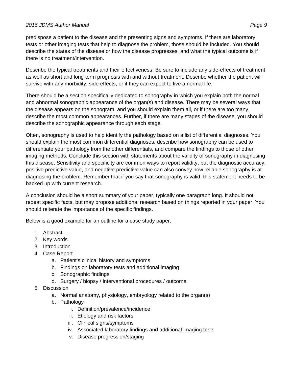#### *2016 JDMS Author Manual Page 9*

predispose a patient to the disease and the presenting signs and symptoms. If there are laboratory tests or other imaging tests that help to diagnose the problem, those should be included. You should describe the states of the disease or how the disease progresses, and what the typical outcome is if there is no treatment/intervention.

Describe the typical treatments and their effectiveness. Be sure to include any side-effects of treatment as well as short and long term prognosis with and without treatment. Describe whether the patient will survive with any morbidity, side effects, or if they can expect to live a normal life.

There should be a section specifically dedicated to sonography in which you explain both the normal and abnormal sonographic appearance of the organ(s) and disease. There may be several ways that the disease appears on the sonogram, and you should explain them all, or if there are too many, describe the most common appearances. Further, if there are many stages of the disease, you should describe the sonographic appearance through each stage.

Often, sonography is used to help identify the pathology based on a list of differential diagnoses. You should explain the most common differential diagnoses, describe how sonography can be used to differentiate your pathology from the other differentials, and compare the findings to those of other imaging methods. Conclude this section with statements about the validity of sonography in diagnosing this disease. Sensitivity and specificity are common ways to report validity, but the diagnostic accuracy, positive predictive value, and negative predictive value can also convey how reliable sonography is at diagnosing the problem. Remember that if you say that sonography is valid, this statement needs to be backed up with current research.

A conclusion should be a short summary of your paper, typically one paragraph long. It should not repeat specific facts, but may propose additional research based on things reported in your paper. You should reiterate the importance of the specific findings.

Below is a good example for an outline for a case study paper:

- 1. Abstract
- 2. Key words
- 3. Introduction
- 4. Case Report
	- a. Patient's clinical history and symptoms
	- b. Findings on laboratory tests and additional imaging
	- c. Sonographic findings
	- d. Surgery / biopsy / interventional procedures / outcome
- 5. Discussion
	- a. Normal anatomy, physiology, embryology related to the organ(s)
	- b. Pathology
		- i. Definition/prevalence/incidence
		- ii. Etiology and risk factors
		- iii. Clinical signs/symptoms
		- iv. Associated laboratory findings and additional imaging tests
		- v. Disease progression/staging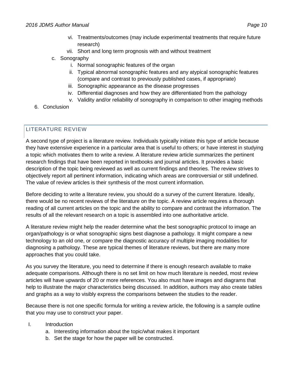- vii. Short and long term prognosis with and without treatment
- c. Sonography

research)

- i. Normal sonographic features of the organ
- ii. Typical abnormal sonographic features and any atypical sonographic features (compare and contrast to previously published cases, if appropriate)
- iii. Sonographic appearance as the disease progresses
- iv. Differential diagnoses and how they are differentiated from the pathology
- v. Validity and/or reliability of sonography in comparison to other imaging methods
- 6. Conclusion

## <span id="page-9-0"></span>LITERATURE REVIEW

A second type of project is a literature review. Individuals typically initiate this type of article because they have extensive experience in a particular area that is useful to others; or have interest in studying a topic which motivates them to write a review. A literature review article summarizes the pertinent research findings that have been reported in textbooks and journal articles. It provides a basic description of the topic being reviewed as well as current findings and theories. The review strives to objectively report all pertinent information, indicating which areas are controversial or still undefined. The value of review articles is their synthesis of the most current information.

Before deciding to write a literature review, you should do a survey of the current literature. Ideally, there would be no recent reviews of the literature on the topic. A review article requires a thorough reading of all current articles on the topic and the ability to compare and contrast the information. The results of all the relevant research on a topic is assembled into one authoritative article.

A literature review might help the reader determine what the best sonographic protocol to image an organ/pathology is or what sonographic signs best diagnose a pathology. It might compare a new technology to an old one, or compare the diagnostic accuracy of multiple imaging modalities for diagnosing a pathology. These are typical themes of literature reviews, but there are many more approaches that you could take.

As you survey the literature, you need to determine if there is enough research available to make adequate comparisons. Although there is no set limit on how much literature is needed, most review articles will have upwards of 20 or more references. You also must have images and diagrams that help to illustrate the major characteristics being discussed. In addition, authors may also create tables and graphs as a way to visibly express the comparisons between the studies to the reader.

Because there is not one specific formula for writing a review article, the following is a sample outline that you may use to construct your paper.

- I. Introduction
	- a. Interesting information about the topic/what makes it important
	- b. Set the stage for how the paper will be constructed.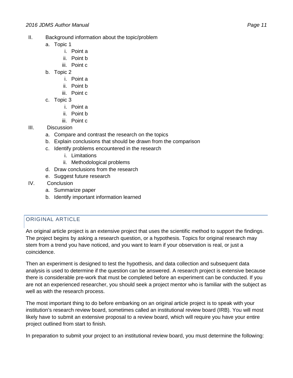- II. Background information about the topic/problem
	- a. Topic 1
		- i. Point a
		- ii. Point b
		- iii. Point c
	- b. Topic 2
		- i. Point a
		- ii. Point b
		- iii. Point c
	- c. Topic 3
		- i. Point a
		- ii. Point b
		- iii. Point c
- III. Discussion
	- a. Compare and contrast the research on the topics
	- b. Explain conclusions that should be drawn from the comparison
	- c. Identify problems encountered in the research
		- i. Limitations
		- ii. Methodological problems
	- d. Draw conclusions from the research
	- e. Suggest future research
- IV. Conclusion
	- a. Summarize paper
	- b. Identify important information learned

# <span id="page-10-0"></span>ORIGINAL ARTICLE

An original article project is an extensive project that uses the scientific method to support the findings. The project begins by asking a research question, or a hypothesis. Topics for original research may stem from a trend you have noticed, and you want to learn if your observation is real, or just a coincidence.

Then an experiment is designed to test the hypothesis, and data collection and subsequent data analysis is used to determine if the question can be answered. A research project is extensive because there is considerable pre-work that must be completed before an experiment can be conducted. If you are not an experienced researcher, you should seek a project mentor who is familiar with the subject as well as with the research process.

The most important thing to do before embarking on an original article project is to speak with your institution's research review board, sometimes called an institutional review board (IRB). You will most likely have to submit an extensive proposal to a review board, which will require you have your entire project outlined from start to finish.

In preparation to submit your project to an institutional review board, you must determine the following: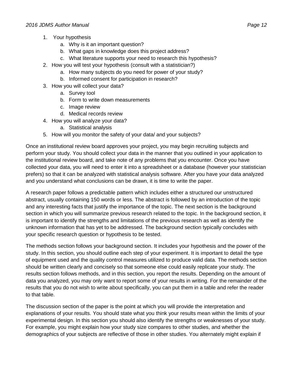- 1. Your hypothesis
	- a. Why is it an important question?
	- b. What gaps in knowledge does this project address?
	- c. What literature supports your need to research this hypothesis?
- 2. How you will test your hypothesis (consult with a statistician?)
	- a. How many subjects do you need for power of your study?
	- b. Informed consent for participation in research?
- 3. How you will collect your data?
	- a. Survey tool
	- b. Form to write down measurements
	- c. Image review
	- d. Medical records review
- 4. How you will analyze your data?
	- a. Statistical analysis
- 5. How will you monitor the safety of your data/ and your subjects?

Once an institutional review board approves your project, you may begin recruiting subjects and perform your study. You should collect your data in the manner that you outlined in your application to the institutional review board, and take note of any problems that you encounter. Once you have collected your data, you will need to enter it into a spreadsheet or a database (however your statistician prefers) so that it can be analyzed with statistical analysis software. After you have your data analyzed and you understand what conclusions can be drawn, it is time to write the paper.

A research paper follows a predictable pattern which includes either a structured our unstructured abstract, usually containing 150 words or less. The abstract is followed by an introduction of the topic and any interesting facts that justify the importance of the topic. The next section is the background section in which you will summarize previous research related to the topic. In the background section, it is important to identify the strengths and limitations of the previous research as well as identify the unknown information that has yet to be addressed. The background section typically concludes with your specific research question or hypothesis to be tested.

The methods section follows your background section. It includes your hypothesis and the power of the study. In this section, you should outline each step of your experiment. It is important to detail the type of equipment used and the quality control measures utilized to produce valid data. The methods section should be written clearly and concisely so that someone else could easily replicate your study. The results section follows methods, and in this section, you report the results. Depending on the amount of data you analyzed, you may only want to report some of your results in writing. For the remainder of the results that you do not wish to write about specifically, you can put them in a table and refer the reader to that table.

The discussion section of the paper is the point at which you will provide the interpretation and explanations of your results. You should state what you think your results mean within the limits of your experimental design. In this section you should also identify the strengths or weaknesses of your study. For example, you might explain how your study size compares to other studies, and whether the demographics of your subjects are reflective of those in other studies. You alternately might explain if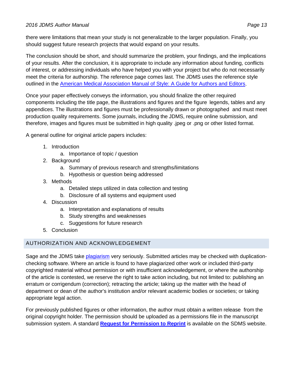there were limitations that mean your study is not generalizable to the larger population. Finally, you should suggest future research projects that would expand on your results.

The conclusion should be short, and should summarize the problem, your findings, and the implications of your results. After the conclusion, it is appropriate to include any information about funding, conflicts of interest, or addressing individuals who have helped you with your project but who do not necessarily meet the criteria for authorship. The reference page comes last. The JDMS uses the reference style outlined in the [American Medical Association Manual of Style:](http://www.amamanualofstyle.com/view/10.1093/jama/9780195176339.001.0001/med-9780195176339) A Guide for Authors and Editors.

Once your paper effectively conveys the information, you should finalize the other required components including the title page, the illustrations and figures and the figure legends, tables and any appendices. The illustrations and figures must be professionally drawn or photographed and must meet production quality requirements. Some journals, including the JDMS, require online submission, and therefore, images and figures must be submitted in high quality .jpeg or .png or other listed format.

A general outline for original article papers includes:

- 1. Introduction
	- a. Importance of topic / question
- 2. Background
	- a. Summary of previous research and strengths/limitations
	- b. Hypothesis or question being addressed
- 3. Methods
	- a. Detailed steps utilized in data collection and testing
	- b. Disclosure of all systems and equipment used
- 4. Discussion
	- a. Interpretation and explanations of results
	- b. Study strengths and weaknesses
	- c. Suggestions for future research
- 5. Conclusion

# <span id="page-12-0"></span>AUTHORIZATION AND ACKNOWLEDGEMENT

Sage and the JDMS take [plagiarism](https://us.sagepub.com/en-us/nam/manuscript-submission-guidelines#PublishingPolicies) very seriously. Submitted articles may be checked with duplicationchecking software. Where an article is found to have plagiarized other work or included third-party copyrighted material without permission or with insufficient acknowledgement, or where the authorship of the article is contested, we reserve the right to take action including, but not limited to: publishing an erratum or corrigendum (correction); retracting the article; taking up the matter with the head of department or dean of the author's institution and/or relevant academic bodies or societies; or taking appropriate legal action.

For previously published figures or other information, the author must obtain a written release from the original copyright holder. The permission should be uploaded as a permissions file in the manuscript submission system. A standard **[Request for Permission to Reprint](http://www.sdms.org/docs/default-source/JDMS/request-for-permission-to-reprint.pdf?sfvrsn=4)** is available on the SDMS website.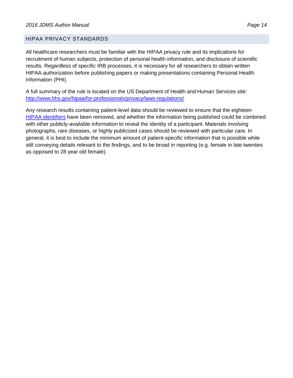#### <span id="page-13-0"></span>HIPAA PRIVACY STANDARDS

All healthcare researchers must be familiar with the HIPAA privacy rule and its implications for recruitment of human subjects, protection of personal health information, and disclosure of scientific results. Regardless of specific IRB processes, it is necessary for all researchers to obtain written HIPAA authorization before publishing papers or making presentations containing Personal Health Information (PHI).

A full summary of the rule is located on the US Department of Health and Human Services site: <http://www.hhs.gov/hipaa/for-professionals/privacy/laws-regulations/>

Any research results containing patient-level data should be reviewed to ensure that the eighteen [HIPAA identifiers](http://www.hhs.gov/hipaa/for-professionals/privacy/special-topics/de-identification/index.html#standard) have been removed, and whether the information being published could be combined with other publicly-available information to reveal the identity of a participant. Materials involving photographs, rare diseases, or highly publicized cases should be reviewed with particular care. In general, it is best to include the minimum amount of patient-specific information that is possible while still conveying details relevant to the findings, and to be broad in reporting (e.g. female in late twenties as opposed to 28 year old female).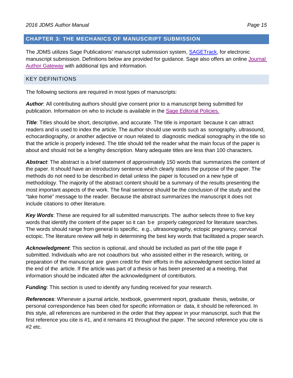#### <span id="page-14-0"></span>**CHAPTER 3: THE MECHANICS OF MANUSCRIPT SUBMISSION**

The JDMS utilizes Sage Publications' manuscript submission system, [SAGETrack,](https://mc.manuscriptcentral.com/sdms-jdms) for electronic manuscript submission. Definitions below are provided for guidance. Sage also offers an online [Journal](https://us.sagepub.com/en-us/nam/page/journal-author-gateway)  [Author Gateway](https://us.sagepub.com/en-us/nam/page/journal-author-gateway) with additional tips and information.

#### <span id="page-14-1"></span>KEY DEFINITIONS

The following sections are required in most types of manuscripts:

*Author*: All contributing authors should give consent prior to a manuscript being submitted for publication. Information on who to include is available in the [Sage Editorial Policies.](https://us.sagepub.com/en-us/nam/manuscript-submission-guidelines#EditorialPolicies)

**Title**: Titles should be short, descriptive, and accurate. The title is important because it can attract readers and is used to index the article. The author should use words such as sonography, ultrasound, echocardiography, or another adjective or noun related to diagnostic medical sonography in the title so that the article is properly indexed. The title should tell the reader what the main focus of the paper is about and should not be a lengthy description. Many adequate titles are less than 100 characters.

*Abstract*: The abstract is a brief statement of approximately 150 words that summarizes the content of the paper. It should have an introductory sentence which clearly states the purpose of the paper. The methods do not need to be described in detail unless the paper is focused on a new type of methodology. The majority of the abstract content should be a summary of the results presenting the most important aspects of the work. The final sentence should be the conclusion of the study and the "take home" message to the reader. Because the abstract summarizes the manuscript it does not include citations to other literature.

*Key Words*[: These](http://www.pubmed.gov/) are required for all submitted manuscripts. The author selects three to five key words that identify the content of the paper so it can be [properly](http://www.pubmed.gov/) categorized for literature searches. The words should range from general to specific, [e.g., ultrasonography, ec](http://www.pubmed.gov/)topic pregnancy, cervical ectopic. The literature review will help in determining the best key words that facilitated a proper search.

*Acknowledgment*: This section is optional, and should be included as part of the title page if submitted. Individuals who are not coauthors but who assisted either in the research, writing, or preparation of the manuscript are given credit for their efforts in the acknowledgment section listed at the end of the article. If the article was part of a thesis or has been presented at a meeting, that information should be indicated after the acknowledgment of contributors.

*Funding*: This section is used to identify any funding received for your research.

*References*: Whenever a journal article, textbook, government report, graduate thesis, website, or personal correspondence has been cited for specific information or data, it should be referenced. In this style, all references are numbered in the order that they appear in your manuscript, such that the first reference you cite is #1, and it remains #1 throughout the paper. The second reference you cite is  $#2$  etc.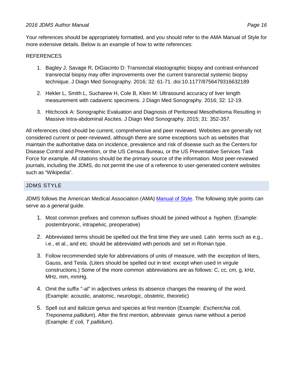#### *2016 JDMS Author Manual Page 16*

Your references should be appropriately formatted, and you should refer to the AMA Manual of Style for more extensive details. Below is an example of how to write references:

#### REFERENCES

- 1. Bagley J, Savage R, DiGiacinto D: Transrectal elastographic biopsy and contrast-enhanced transrectal biopsy may offer improvements over the current transrectal systemic biopsy technique. J Diagn Med Sonography. 2016; 32: 61-71. doi:10.1177/8756479316632189
- 2. Hekler L, Smith L, Sucharew H, Cole B, Klein M: Ultrasound accuracy of liver length measurement with cadaveric specimens. J Diagn Med Sonography. 2016; 32: 12-19.
- 3. Hitchcock A: Sonographic Evaluation and Diagnosis of Peritoneal Mesothelioma Resulting in Massive Intra-abdominal Ascites. J Diagn Med Sonography. 2015; 31: 352-357.

All references cited should be current, comprehensive and peer reviewed. Websites are generally not considered current or peer-reviewed, although there are some exceptions such as websites that maintain the authoritative data on incidence, prevalence and risk of disease such as the Centers for Disease Control and Prevention, or the US Census Bureau, or the US Preventative Services Task Force for example. All citations should be the primary source of the information. Most peer-reviewed journals, including the JDMS, do not permit the use of a reference to user-generated content websites such as "Wikipedia".

#### <span id="page-15-0"></span>JDMS STYLE

JDMS follows the American Medical Association (AMA) [Manual of Style.](http://m.amamanualofstyle.com/) The following style points can serve as a *general* guide.

- 1. Most common prefixes and common suffixes should be joined without a hyphen. (Example: postembryonic, intrapelvic, preoperative)
- 2. Abbreviated terms should be spelled out the first time they are used. Latin terms such as e.g., i.e., et al., and etc. should be abbreviated with periods and set in Roman type.
- 3. Follow recommended style for abbreviations of units of measure, with the exception of liters, Gauss, and Tesla. (Liters should be spelled out in text except when used in virgule constructions.) Some of the more common abbreviations are as follows: C, cc, cm, g, kHz, MHz, mm, mmHg.
- 4. Omit the suffix "-al" in adjectives unless its absence changes the meaning of the word. (Example: acoustic, anatomic, neurologic, obstetric, theoretic)
- 5. Spell out and italicize genus and species at first mention (Example: *Escherichia coli, Treponema pallidum*). After the first mention, abbreviate genus name without a period (Example: *E coli, T pallidum*).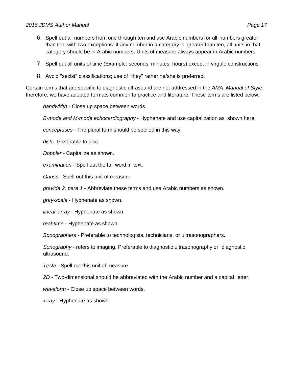#### *2016 JDMS Author Manual Page 17*

- 6. Spell out all numbers from one through ten and use Arabic numbers for all numbers greater than ten, with two exceptions: if any number in a category is greater than ten, all units in that category should be in Arabic numbers. Units of measure always appear in Arabic numbers.
- 7. Spell out all units of time (Example: seconds, minutes, hours) except in virgule constructions.
- 8. Avoid "sexist" classifications; use of "they" rather he/she is preferred.

Certain terms that are specific to diagnostic ultrasound are not addressed in the *AMA Manual of Style*; therefore, we have adopted formats common to practice and literature. These terms are listed below:

*bandwidth* - Close up space between words.

*B-mode and M-mode echocardiography* - Hyphenate and use capitalization as shown here.

*conceptuses* - The plural form should be spelled in this way.

*disk* - Preferable to disc.

*Doppler* - Capitalize as shown.

*examination* - Spell out the full word in text.

*Gauss* - Spell out this unit of measure.

*gravida 2, para 1* - Abbreviate these terms and use Arabic numbers as shown.

*gray-scale* - Hyphenate as shown.

*linear-array* - Hyphenate as shown.

*real-time* - Hyphenate as shown.

*Sonographers* - Preferable to technologists, technicians, or ultrasonographers.

*Sonography -* refers to imaging. Preferable to diagnostic ultrasonography or diagnostic ultrasound.

*Tesla* - Spell out this unit of measure.

*2D* - Two-dimensional should be abbreviated with the Arabic number and a capital letter.

*waveform* - Close up space between words.

*x-ray* - Hyphenate as shown.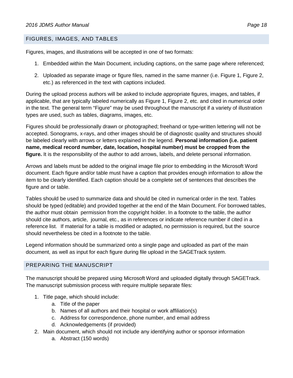#### <span id="page-17-0"></span>FIGURES, IMAGES, AND TABLES

Figures, images, and illustrations will be accepted in one of two formats:

- 1. Embedded within the Main Document, including captions, on the same page where referenced;
- 2. Uploaded as separate image or figure files, named in the same manner (i.e. Figure 1, Figure 2, etc.) as referenced in the text with captions included.

During the upload process authors will be asked to include appropriate figures, images, and tables, if applicable, that are typically labeled numerically as Figure 1, Figure 2, etc. and cited in numerical order in the text. The general term "Figure" may be used throughout the manuscript if a variety of illustration types are used, such as tables, diagrams, images, etc.

Figures should be professionally drawn or photographed; freehand or type-written lettering will not be accepted. Sonograms, x-rays, and other images should be of diagnostic quality and structures should be labeled clearly with arrows or letters explained in the legend. **Personal information (i.e. patient name, medical record number, date, location, hospital number) must be cropped from the figure.** It is the responsibility of the author to add arrows, labels, and delete personal information.

Arrows and labels must be added to the original image file prior to embedding in the Microsoft Word document. Each figure and/or table must have a caption that provides enough information to allow the item to be clearly identified. Each caption should be a complete set of sentences that describes the figure and or table.

Tables should be used to summarize data and should be cited in numerical order in the text. Tables should be typed (editable) and provided together at the end of the Main Document. For borrowed tables, the author must obtain permission from the copyright holder. In a footnote to the table, the author should cite authors, article, journal, etc., as in references or indicate reference number if cited in a reference list. If material for a table is modified or adapted, no permission is required, but the source should nevertheless be cited in a footnote to the table.

Legend information should be summarized onto a single page and uploaded as part of the main document, as well as input for each figure during file upload in the SAGETrack system.

#### <span id="page-17-1"></span>PREPARING THE MANUSCRIPT

The manuscript should be prepared using Microsoft Word and uploaded digitally through SAGETrack. The manuscript submission process with require multiple separate files:

- 1. Title page, which should include:
	- a. Title of the paper
	- b. Names of all authors and their hospital or work affiliation(s)
	- c. Address for correspondence, phone number, and email address
	- d. Acknowledgements (if provided)
- 2. Main document, which should not include any identifying author or sponsor information
	- a. Abstract (150 words)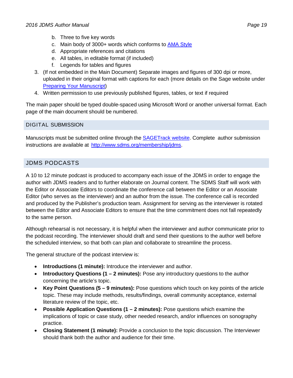- b. Three to five key words
- c. Main body of 3000+ words which conforms to **AMA Style**
- d. Appropriate references and citations
- e. All tables, in editable format (if included)
- f. Legends for tables and figures
- 3. (If not embedded in the Main Document) Separate images and figures of 300 dpi or more, uploaded in their original format with captions for each (more details on the Sage website under [Preparing Your Manuscript\)](https://us.sagepub.com/en-us/nam/manuscript-submission-guidelines#PreparingYourManuscript)
- 4. Written permission to use previously published figures, tables, or text if required

The main paper should be typed double-spaced using Microsoft Word or another universal format. Each page of the main document should be numbered.

#### <span id="page-18-0"></span>[DIGITAL SUBMISSION](http://mc.manuscriptcentral.com/sdms-jdms)

[Manuscripts](http://mc.manuscriptcentral.com/sdms-jdms) must be submitted online through the [SAGETrack](https://mc.manuscriptcentral.com/sdms-jdms) website. Complete author [submission](http://mc.manuscriptcentral.com/sdms-jdms) [instructions](http://mc.manuscriptcentral.com/sdms-jdms) are available at [http://www.sdms.org/membership/jdms.](http://www.sdms.org/membership/jdms)

# <span id="page-18-1"></span>JDMS PODCASTS

A 10 to 12 minute podcast is produced to accompany each issue of the JDMS in order to engage the author with JDMS readers and to further elaborate on Journal content. The SDMS Staff will work with the Editor or Associate Editors to coordinate the conference call between the Editor or an Associate Editor (who serves as the interviewer) and an author from the issue. The conference call is recorded and produced by the Publisher's production team. Assignment for serving as the interviewer is rotated between the Editor and Associate Editors to ensure that the time commitment does not fall repeatedly to the same person.

Although rehearsal is not necessary, it is helpful when the interviewer and author communicate prior to the podcast recording. The interviewer should draft and send their questions to the author well before the scheduled interview, so that both can plan and collaborate to streamline the process.

The general structure of the podcast interview is:

- **Introductions (1 minute):** Introduce the interviewer and author.
- **Introductory Questions (1 2 minutes):** Pose any introductory questions to the author concerning the article's topic.
- **Key Point Questions (5 9 minutes):** Pose questions which touch on key points of the article topic. These may include methods, results/findings, overall community acceptance, external literature review of the topic, etc.
- **Possible Application Questions (1 2 minutes):** Pose questions which examine the implications of topic or case study, other needed research, and/or influences on sonography practice.
- **Closing Statement (1 minute):** Provide a conclusion to the topic discussion. The Interviewer should thank both the author and audience for their time.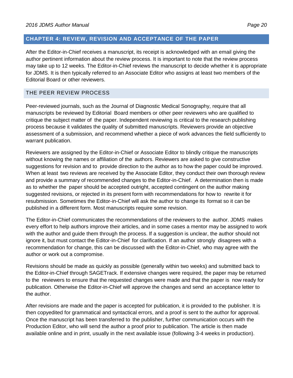#### <span id="page-19-0"></span>**CHAPTER 4: REVIEW, REVISION AND ACCEPTANCE OF THE PAPER**

After the Editor-in-Chief receives a manuscript, its receipt is acknowledged with an email giving the author pertinent information about the review process. It is important to note that the review process may take up to 12 weeks. The Editor-in-Chief reviews the manuscript to decide whether it is appropriate for JDMS. It is then typically referred to an Associate Editor who assigns at least two members of the Editorial Board or other reviewers.

#### <span id="page-19-1"></span>THE PEER REVIEW PROCESS

Peer-reviewed journals, such as the Journal of Diagnostic Medical Sonography, require that all manuscripts be reviewed by Editorial Board members or other peer reviewers who are qualified to critique the subject matter of the paper. Independent reviewing is critical to the research publishing process because it validates the quality of submitted manuscripts. Reviewers provide an objective assessment of a submission, and recommend whether a piece of work advances the field sufficiently to warrant publication.

Reviewers are assigned by the Editor-in-Chief or Associate Editor to blindly critique the manuscripts without knowing the names or affiliation of the authors. Reviewers are asked to give constructive suggestions for revision and to provide direction to the author as to how the paper could be improved. When at least two reviews are received by the Associate Editor, they conduct their own thorough review and provide a summary of recommended changes to the Editor-in-Chief. A determination then is made as to whether the paper should be accepted outright, accepted contingent on the author making suggested revisions, or rejected in its present form with recommendations for how to rewrite it for resubmission. Sometimes the Editor-in-Chief will ask the author to change its format so it can be published in a different form. Most manuscripts require some revision.

The Editor-in-Chief communicates the recommendations of the reviewers to the author. JDMS makes every effort to help authors improve their articles, and in some cases a mentor may be assigned to work with the author and guide them through the process. If a suggestion is unclear, the author should not ignore it, but must contact the Editor-in-Chief for clarification. If an author strongly disagrees with a recommendation for change, this can be discussed with the Editor-in-Chief, who may agree with the author or work out a compromise.

Revisions should be made as quickly as possible (generally within two weeks) and submitted back to the Editor-in-Chief through SAGETrack. If extensive changes were required, the paper may be returned to the reviewers to ensure that the requested changes were made and that the paper is now ready for publication. Otherwise the Editor-in-Chief will approve the changes and send an acceptance letter to the author.

After revisions are made and the paper is accepted for publication, it is provided to the publisher. It is then copyedited for grammatical and syntactical errors, and a proof is sent to the author for approval. Once the manuscript has been transferred to the publisher, further communication occurs with the Production Editor, who will send the author a proof prior to publication. The article is then made available online and in print, usually in the next available issue (following 3-4 weeks in production).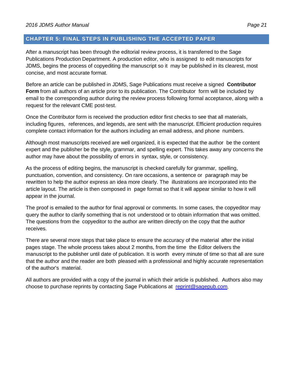#### <span id="page-20-0"></span>**CHAPTER 5: FINAL STEPS IN PUBLISHING THE ACCEPTED PAPER**

After a manuscript has been through the editorial review process, it is transferred to the Sage Publications Production Department. A production editor, who is assigned to edit manuscripts for JDMS, begins the process of copyediting the manuscript so it may be published in its clearest, most concise, and most accurate format.

Before an article can be published in JDMS, Sage Publications must receive a signed **Contributor Form** from all authors of an article prior to its publication. The Contributor form will be included by email to the corresponding author during the review process following formal acceptance, along with a request for the relevant CME post-test.

Once the Contributor form is received the production editor first checks to see that all materials, including figures, references, and legends, are sent with the manuscript. Efficient production requires complete contact information for the authors including an email address, and phone numbers.

Although most manuscripts received are well organized, it is expected that the author be the content expert and the publisher be the style, grammar, and spelling expert. This takes away any concerns the author may have about the possibility of errors in syntax, style, or consistency.

As the process of editing begins, the manuscript is checked carefully for grammar, spelling, punctuation, convention, and consistency. On rare occasions, a sentence or paragraph may be rewritten to help the author express an idea more clearly. The illustrations are incorporated into the article layout. The article is then composed in page format so that it will appear similar to how it will appear in the journal.

The proof is emailed to the author for final approval or comments. In some cases, the copyeditor may query the author to clarify something that is not understood or to obtain information that was omitted. The questions from the copyeditor to the author are written directly on the copy that the author receives.

There are several more steps that take place to ensure the accuracy of the material after the initial pages stage. The whole process takes about 2 months, from the time the Editor delivers the manuscript to the publisher until date of publication. It is worth every minute of time so that all are sure that the author and the reader are both pleased with a professional and highly accurate representation of the author's material.

All authors are provided with a copy of the journal in which their article is published. [Authors also](mailto:reprint@sagepub.com) may [choo](mailto:reprint@sagepub.com)se to purchase reprints by contacting Sage Publications at [reprint@sagepub.com.](mailto:reprint@sagepub.com)